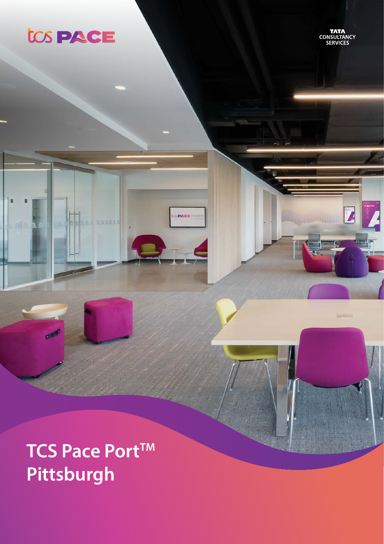

г

ail.

**TATA**<br>CONSULTANCY<br>SERVICES

**Williams** 

# TCS Pace Port™ Pittsburgh

AAAAAA

**PACE**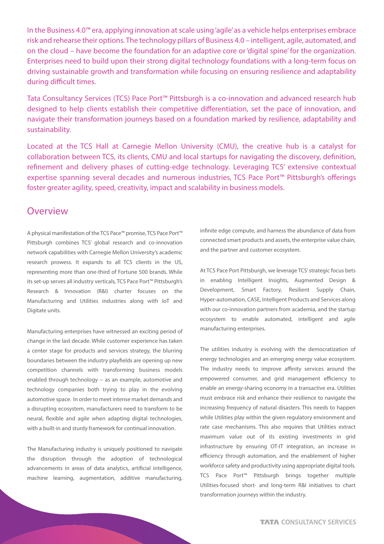In the Business 4.0™ era, applying innovation at scale using 'agile' as a vehicle helps enterprises embrace risk and rehearse their options. The technology pillars of Business 4.0 – intelligent, agile, automated, and on the cloud – have become the foundation for an adaptive core or 'digital spine' for the organization. Enterprises need to build upon their strong digital technology foundations with a long-term focus on driving sustainable growth and transformation while focusing on ensuring resilience and adaptability during difficult times.

Tata Consultancy Services (TCS) Pace Port™ Pittsburgh is a co-innovation and advanced research hub designed to help clients establish their competitive differentiation, set the pace of innovation, and navigate their transformation journeys based on a foundation marked by resilience, adaptability and sustainability.

Located at the TCS Hall at Carnegie Mellon University (CMU), the creative hub is a catalyst for collaboration between TCS, its clients, CMU and local startups for navigating the discovery, definition, refinement and delivery phases of cutting-edge technology. Leveraging TCS' extensive contextual expertise spanning several decades and numerous industries, TCS Pace Port™ Pittsburgh's offerings foster greater agility, speed, creativity, impact and scalability in business models.

## **Overview**

A physical manifestation of the TCS Pace™ promise, TCS Pace Port™ Pittsburgh combines TCS' global research and co-innovation network capabilities with Carnegie Mellon University's academic research prowess. It expands to all TCS clients in the US, representing more than one-third of Fortune 500 brands. While its set-up serves all industry verticals, TCS Pace Port™ Pittsburgh's Research & Innovation (R&I) charter focuses on the Manufacturing and Utilities industries along with IoT and Digitate units.

Manufacturing enterprises have witnessed an exciting period of change in the last decade. While customer experience has taken a center stage for products and services strategy, the blurring boundaries between the industry playfields are opening up new competition channels with transforming business models enabled through technology -- as an example, automotive and technology companies both trying to play in the evolving automotive space. In order to meet intense market demands and a disrupting ecosystem, manufacturers need to transform to be neural, flexible and agile when adapting digital technologies, with a built-in and sturdy framework for continual innovation.

The Manufacturing industry is uniquely positioned to navigate the disruption through the adoption of technological advancements in areas of data analytics, artificial intelligence, machine learning, augmentation, additive manufacturing, infinite edge compute, and harness the abundance of data from connected smart products and assets, the enterprise value chain, and the partner and customer ecosystem.

At TCS Pace Port Pittsburgh, we leverage TCS' strategic focus bets in enabling Intelligent Insights, Augmented Design & Development, Smart Factory, Resilient Supply Chain, Hyper-automation, CASE, Intelligent Products and Services along with our co-innovation partners from academia, and the startup ecosystem to enable automated, intelligent and agile manufacturing enterprises.

The utilities industry is evolving with the democratization of energy technologies and an emerging energy value ecosystem. The industry needs to improve affinity services around the empowered consumer, and grid management efficiency to enable an energy-sharing economy in a transactive era. Utilities must embrace risk and enhance their resilience to navigate the increasing frequency of natural disasters. This needs to happen while Utilities play within the given regulatory environment and rate case mechanisms. This also requires that Utilities extract maximum value out of its existing investments in grid infrastructure by ensuring OT-IT integration, an increase in efficiency through automation, and the enablement of higher workforce safety and productivity using appropriate digital tools. TCS Pace Port™ Pittsburgh brings together multiple Utilities-focused short- and long-term R&I initiatives to chart transformation journeys within the industry.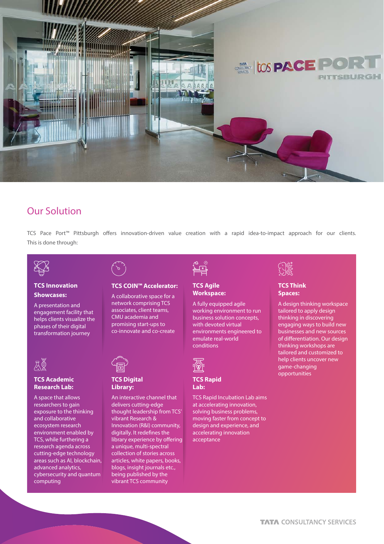

# Our Solution

TCS Pace Port™ Pittsburgh offers innovation-driven value creation with a rapid idea-to-impact approach for our clients. This is done through:



#### **TCS Innovation Showcases:**

A presentation and engagement facility that helps clients visualize the phases of their digital transformation journey



#### **TCS Academic Research Lab:**

A space that allows researchers to gain exposure to the thinking and collaborative ecosystem research environment enabled by TCS, while furthering a research agenda across cutting-edge technology areas such as AI, blockchain, advanced analytics, cybersecurity and quantum computing

## **TCS COIN™ Accelerator:**

A collaborative space for a network comprising TCS associates, client teams, CMU academia and promising start-ups to co-innovate and co-create



#### **TCS Digital Library:**

An interactive channel that delivers cutting-edge thought leadership from TCS' vibrant Research & Innovation (R&I) community, digitally. It redefines the library experience by offering a unique, multi-spectral collection of stories across articles, white papers, books, blogs, insight journals etc., being published by the vibrant TCS community



#### **TCS Agile Workspace:**

A fully equipped agile working environment to run business solution concepts, with devoted virtual environments engineered to emulate real-world conditions



#### **TCS Rapid Lab:**

TCS Rapid Incubation Lab aims at accelerating innovation, solving business problems, moving faster from concept to design and experience, and accelerating innovation acceptance



#### **TCS Think Spaces:**

A design thinking workspace tailored to apply design thinking in discovering engaging ways to build new businesses and new sources of differentiation. Our design thinking workshops are tailored and customized to help clients uncover new game-changing opportunities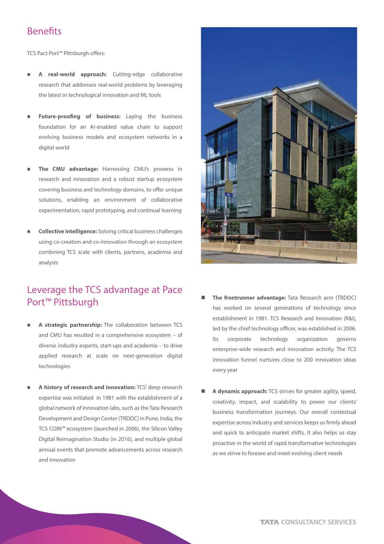## **Benefits**

TCS Pact Port<sup>™</sup> Pittsburgh offers:

- A real-world approach: Cutting-edge collaborative research that addresses real-world problems by leveraging the latest in technological innovation and ML tools
- Future-proofing of business: Laying the business foundation for an AI-enabled value chain to support evolving business models and ecosystem networks in a digital world
- The CMU advantage: Harnessing CMU's prowess in research and innovation and a robust startup ecosystem covering business and technology domains, to offer unique solutions, enabling an environment of collaborative experimentation, rapid prototyping, and continual learning
- n **Collective intelligence:** Solving critical business challenges using co-creation and co-innovation through an ecosystem combining TCS scale with clients, partners, academia and analysts

# Leverage the TCS advantage at Pace Port™ Pittsburgh

- n **A strategic partnership:** The collaboration between TCS and CMU has resulted in a comprehensive ecosystem – of diverse industry experts, start-ups and academia – to drive applied research at scale on next-generation digital technologies
- n **A history of research and innovation:** TCS' deep research expertise was initiated in 1981 with the establishment of a global network of innovation labs, such as the Tata Research Development and Design Center (TRDDC) in Pune, India, the TCS COIN™ ecosystem (launched in 2006), the Silicon Valley Digital Reimagination Studio (in 2016), and multiple global annual events that promote advancements across research and innovation



- The frontrunner advantage: Tata Research arm (TRDDC) has worked on several generations of technology since establishment in 1981. TCS Research and Innovation (R&I), led by the chief technology officer, was established in 2006. Its corporate technology organization governs enterprise-wide research and innovation activity. The TCS innovation funnel nurtures close to 200 innovation ideas every year
- n **A dynamic approach:** TCS strives for greater agility, speed, creativity, impact, and scalability to power our clients' business transformation journeys. Our overall contextual expertise across industry and services keeps us firmly ahead and quick to anticipate market shifts. It also helps us stay proactive in the world of rapid transformative technologies as we strive to foresee and meet evolving client needs